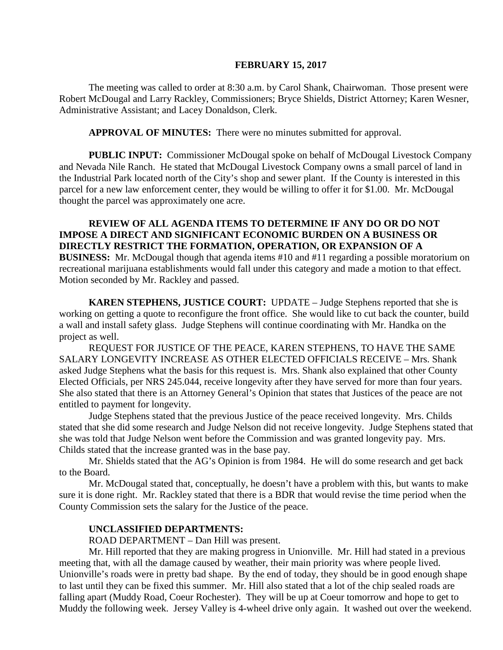#### **FEBRUARY 15, 2017**

The meeting was called to order at 8:30 a.m. by Carol Shank, Chairwoman. Those present were Robert McDougal and Larry Rackley, Commissioners; Bryce Shields, District Attorney; Karen Wesner, Administrative Assistant; and Lacey Donaldson, Clerk.

**APPROVAL OF MINUTES:** There were no minutes submitted for approval.

 **PUBLIC INPUT:** Commissioner McDougal spoke on behalf of McDougal Livestock Company and Nevada Nile Ranch. He stated that McDougal Livestock Company owns a small parcel of land in the Industrial Park located north of the City's shop and sewer plant. If the County is interested in this parcel for a new law enforcement center, they would be willing to offer it for \$1.00. Mr. McDougal thought the parcel was approximately one acre.

**REVIEW OF ALL AGENDA ITEMS TO DETERMINE IF ANY DO OR DO NOT IMPOSE A DIRECT AND SIGNIFICANT ECONOMIC BURDEN ON A BUSINESS OR DIRECTLY RESTRICT THE FORMATION, OPERATION, OR EXPANSION OF A BUSINESS:** Mr. McDougal though that agenda items #10 and #11 regarding a possible moratorium on recreational marijuana establishments would fall under this category and made a motion to that effect. Motion seconded by Mr. Rackley and passed.

**KAREN STEPHENS, JUSTICE COURT:** UPDATE – Judge Stephens reported that she is working on getting a quote to reconfigure the front office. She would like to cut back the counter, build a wall and install safety glass. Judge Stephens will continue coordinating with Mr. Handka on the project as well.

REQUEST FOR JUSTICE OF THE PEACE, KAREN STEPHENS, TO HAVE THE SAME SALARY LONGEVITY INCREASE AS OTHER ELECTED OFFICIALS RECEIVE – Mrs. Shank asked Judge Stephens what the basis for this request is. Mrs. Shank also explained that other County Elected Officials, per NRS 245.044, receive longevity after they have served for more than four years. She also stated that there is an Attorney General's Opinion that states that Justices of the peace are not entitled to payment for longevity.

Judge Stephens stated that the previous Justice of the peace received longevity. Mrs. Childs stated that she did some research and Judge Nelson did not receive longevity. Judge Stephens stated that she was told that Judge Nelson went before the Commission and was granted longevity pay. Mrs. Childs stated that the increase granted was in the base pay.

Mr. Shields stated that the AG's Opinion is from 1984. He will do some research and get back to the Board.

Mr. McDougal stated that, conceptually, he doesn't have a problem with this, but wants to make sure it is done right. Mr. Rackley stated that there is a BDR that would revise the time period when the County Commission sets the salary for the Justice of the peace.

#### **UNCLASSIFIED DEPARTMENTS:**

ROAD DEPARTMENT – Dan Hill was present.

Mr. Hill reported that they are making progress in Unionville. Mr. Hill had stated in a previous meeting that, with all the damage caused by weather, their main priority was where people lived. Unionville's roads were in pretty bad shape. By the end of today, they should be in good enough shape to last until they can be fixed this summer. Mr. Hill also stated that a lot of the chip sealed roads are falling apart (Muddy Road, Coeur Rochester). They will be up at Coeur tomorrow and hope to get to Muddy the following week. Jersey Valley is 4-wheel drive only again. It washed out over the weekend.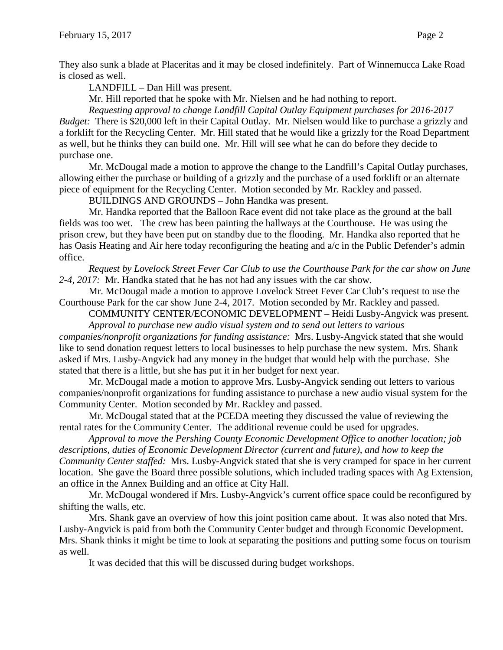They also sunk a blade at Placeritas and it may be closed indefinitely. Part of Winnemucca Lake Road is closed as well.

LANDFILL – Dan Hill was present.

Mr. Hill reported that he spoke with Mr. Nielsen and he had nothing to report.

*Requesting approval to change Landfill Capital Outlay Equipment purchases for 2016-2017 Budget:* There is \$20,000 left in their Capital Outlay. Mr. Nielsen would like to purchase a grizzly and a forklift for the Recycling Center. Mr. Hill stated that he would like a grizzly for the Road Department as well, but he thinks they can build one. Mr. Hill will see what he can do before they decide to purchase one.

Mr. McDougal made a motion to approve the change to the Landfill's Capital Outlay purchases, allowing either the purchase or building of a grizzly and the purchase of a used forklift or an alternate piece of equipment for the Recycling Center. Motion seconded by Mr. Rackley and passed.

BUILDINGS AND GROUNDS – John Handka was present.

Mr. Handka reported that the Balloon Race event did not take place as the ground at the ball fields was too wet. The crew has been painting the hallways at the Courthouse. He was using the prison crew, but they have been put on standby due to the flooding. Mr. Handka also reported that he has Oasis Heating and Air here today reconfiguring the heating and  $a/c$  in the Public Defender's admin office.

*Request by Lovelock Street Fever Car Club to use the Courthouse Park for the car show on June 2-4, 2017:* Mr. Handka stated that he has not had any issues with the car show.

Mr. McDougal made a motion to approve Lovelock Street Fever Car Club's request to use the Courthouse Park for the car show June 2-4, 2017. Motion seconded by Mr. Rackley and passed.

COMMUNITY CENTER/ECONOMIC DEVELOPMENT – Heidi Lusby-Angvick was present. *Approval to purchase new audio visual system and to send out letters to various* 

*companies/nonprofit organizations for funding assistance:* Mrs. Lusby-Angvick stated that she would like to send donation request letters to local businesses to help purchase the new system. Mrs. Shank asked if Mrs. Lusby-Angvick had any money in the budget that would help with the purchase. She stated that there is a little, but she has put it in her budget for next year.

Mr. McDougal made a motion to approve Mrs. Lusby-Angvick sending out letters to various companies/nonprofit organizations for funding assistance to purchase a new audio visual system for the Community Center. Motion seconded by Mr. Rackley and passed.

Mr. McDougal stated that at the PCEDA meeting they discussed the value of reviewing the rental rates for the Community Center. The additional revenue could be used for upgrades.

*Approval to move the Pershing County Economic Development Office to another location; job descriptions, duties of Economic Development Director (current and future), and how to keep the Community Center staffed:* Mrs. Lusby-Angvick stated that she is very cramped for space in her current location. She gave the Board three possible solutions, which included trading spaces with Ag Extension, an office in the Annex Building and an office at City Hall.

Mr. McDougal wondered if Mrs. Lusby-Angvick's current office space could be reconfigured by shifting the walls, etc.

Mrs. Shank gave an overview of how this joint position came about. It was also noted that Mrs. Lusby-Angvick is paid from both the Community Center budget and through Economic Development. Mrs. Shank thinks it might be time to look at separating the positions and putting some focus on tourism as well.

It was decided that this will be discussed during budget workshops.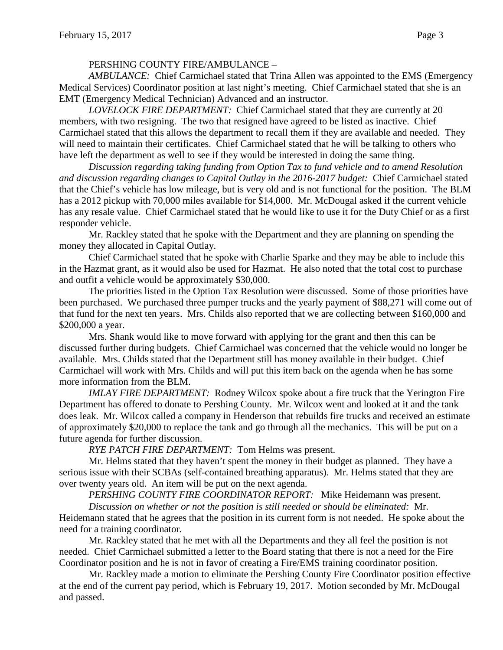## PERSHING COUNTY FIRE/AMBULANCE –

*AMBULANCE:* Chief Carmichael stated that Trina Allen was appointed to the EMS (Emergency Medical Services) Coordinator position at last night's meeting. Chief Carmichael stated that she is an EMT (Emergency Medical Technician) Advanced and an instructor.

*LOVELOCK FIRE DEPARTMENT:* Chief Carmichael stated that they are currently at 20 members, with two resigning. The two that resigned have agreed to be listed as inactive. Chief Carmichael stated that this allows the department to recall them if they are available and needed. They will need to maintain their certificates. Chief Carmichael stated that he will be talking to others who have left the department as well to see if they would be interested in doing the same thing.

*Discussion regarding taking funding from Option Tax to fund vehicle and to amend Resolution and discussion regarding changes to Capital Outlay in the 2016-2017 budget:* Chief Carmichael stated that the Chief's vehicle has low mileage, but is very old and is not functional for the position. The BLM has a 2012 pickup with 70,000 miles available for \$14,000. Mr. McDougal asked if the current vehicle has any resale value. Chief Carmichael stated that he would like to use it for the Duty Chief or as a first responder vehicle.

Mr. Rackley stated that he spoke with the Department and they are planning on spending the money they allocated in Capital Outlay.

Chief Carmichael stated that he spoke with Charlie Sparke and they may be able to include this in the Hazmat grant, as it would also be used for Hazmat. He also noted that the total cost to purchase and outfit a vehicle would be approximately \$30,000.

The priorities listed in the Option Tax Resolution were discussed. Some of those priorities have been purchased. We purchased three pumper trucks and the yearly payment of \$88,271 will come out of that fund for the next ten years. Mrs. Childs also reported that we are collecting between \$160,000 and \$200,000 a year.

Mrs. Shank would like to move forward with applying for the grant and then this can be discussed further during budgets. Chief Carmichael was concerned that the vehicle would no longer be available. Mrs. Childs stated that the Department still has money available in their budget. Chief Carmichael will work with Mrs. Childs and will put this item back on the agenda when he has some more information from the BLM.

*IMLAY FIRE DEPARTMENT:* Rodney Wilcox spoke about a fire truck that the Yerington Fire Department has offered to donate to Pershing County. Mr. Wilcox went and looked at it and the tank does leak. Mr. Wilcox called a company in Henderson that rebuilds fire trucks and received an estimate of approximately \$20,000 to replace the tank and go through all the mechanics. This will be put on a future agenda for further discussion.

*RYE PATCH FIRE DEPARTMENT:* Tom Helms was present.

Mr. Helms stated that they haven't spent the money in their budget as planned. They have a serious issue with their SCBAs (self-contained breathing apparatus). Mr. Helms stated that they are over twenty years old. An item will be put on the next agenda.

*PERSHING COUNTY FIRE COORDINATOR REPORT:* Mike Heidemann was present.

*Discussion on whether or not the position is still needed or should be eliminated:* Mr. Heidemann stated that he agrees that the position in its current form is not needed. He spoke about the need for a training coordinator.

Mr. Rackley stated that he met with all the Departments and they all feel the position is not needed. Chief Carmichael submitted a letter to the Board stating that there is not a need for the Fire Coordinator position and he is not in favor of creating a Fire/EMS training coordinator position.

Mr. Rackley made a motion to eliminate the Pershing County Fire Coordinator position effective at the end of the current pay period, which is February 19, 2017. Motion seconded by Mr. McDougal and passed.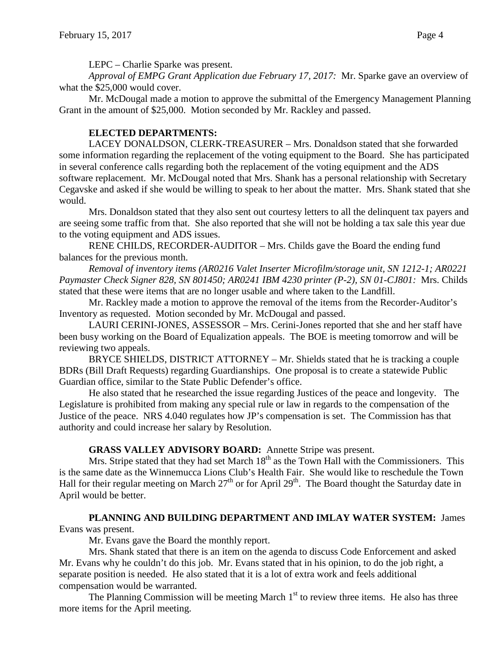LEPC – Charlie Sparke was present.

*Approval of EMPG Grant Application due February 17, 2017:* Mr. Sparke gave an overview of what the \$25,000 would cover.

Mr. McDougal made a motion to approve the submittal of the Emergency Management Planning Grant in the amount of \$25,000. Motion seconded by Mr. Rackley and passed.

## **ELECTED DEPARTMENTS:**

LACEY DONALDSON, CLERK-TREASURER – Mrs. Donaldson stated that she forwarded some information regarding the replacement of the voting equipment to the Board. She has participated in several conference calls regarding both the replacement of the voting equipment and the ADS software replacement. Mr. McDougal noted that Mrs. Shank has a personal relationship with Secretary Cegavske and asked if she would be willing to speak to her about the matter. Mrs. Shank stated that she would.

Mrs. Donaldson stated that they also sent out courtesy letters to all the delinquent tax payers and are seeing some traffic from that. She also reported that she will not be holding a tax sale this year due to the voting equipment and ADS issues.

RENE CHILDS, RECORDER-AUDITOR – Mrs. Childs gave the Board the ending fund balances for the previous month.

*Removal of inventory items (AR0216 Valet Inserter Microfilm/storage unit, SN 1212-1; AR0221 Paymaster Check Signer 828, SN 801450; AR0241 IBM 4230 printer (P-2), SN 01-CJ801:* Mrs. Childs stated that these were items that are no longer usable and where taken to the Landfill.

Mr. Rackley made a motion to approve the removal of the items from the Recorder-Auditor's Inventory as requested. Motion seconded by Mr. McDougal and passed.

LAURI CERINI-JONES, ASSESSOR – Mrs. Cerini-Jones reported that she and her staff have been busy working on the Board of Equalization appeals. The BOE is meeting tomorrow and will be reviewing two appeals.

BRYCE SHIELDS, DISTRICT ATTORNEY – Mr. Shields stated that he is tracking a couple BDRs (Bill Draft Requests) regarding Guardianships. One proposal is to create a statewide Public Guardian office, similar to the State Public Defender's office.

He also stated that he researched the issue regarding Justices of the peace and longevity. The Legislature is prohibited from making any special rule or law in regards to the compensation of the Justice of the peace. NRS 4.040 regulates how JP's compensation is set. The Commission has that authority and could increase her salary by Resolution.

# **GRASS VALLEY ADVISORY BOARD:** Annette Stripe was present.

Mrs. Stripe stated that they had set March  $18<sup>th</sup>$  as the Town Hall with the Commissioners. This is the same date as the Winnemucca Lions Club's Health Fair. She would like to reschedule the Town Hall for their regular meeting on March  $27<sup>th</sup>$  or for April  $29<sup>th</sup>$ . The Board thought the Saturday date in April would be better.

# **PLANNING AND BUILDING DEPARTMENT AND IMLAY WATER SYSTEM:** James Evans was present.

Mr. Evans gave the Board the monthly report.

Mrs. Shank stated that there is an item on the agenda to discuss Code Enforcement and asked Mr. Evans why he couldn't do this job. Mr. Evans stated that in his opinion, to do the job right, a separate position is needed. He also stated that it is a lot of extra work and feels additional compensation would be warranted.

The Planning Commission will be meeting March  $1<sup>st</sup>$  to review three items. He also has three more items for the April meeting.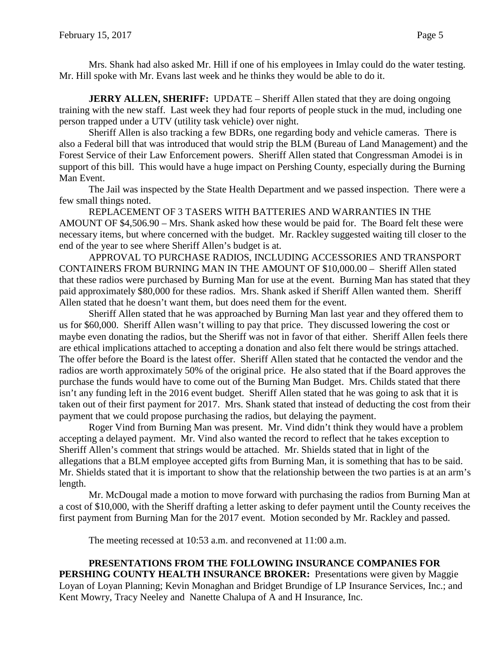Mrs. Shank had also asked Mr. Hill if one of his employees in Imlay could do the water testing. Mr. Hill spoke with Mr. Evans last week and he thinks they would be able to do it.

**JERRY ALLEN, SHERIFF:** UPDATE – Sheriff Allen stated that they are doing ongoing training with the new staff. Last week they had four reports of people stuck in the mud, including one person trapped under a UTV (utility task vehicle) over night.

Sheriff Allen is also tracking a few BDRs, one regarding body and vehicle cameras. There is also a Federal bill that was introduced that would strip the BLM (Bureau of Land Management) and the Forest Service of their Law Enforcement powers. Sheriff Allen stated that Congressman Amodei is in support of this bill. This would have a huge impact on Pershing County, especially during the Burning Man Event.

The Jail was inspected by the State Health Department and we passed inspection. There were a few small things noted.

REPLACEMENT OF 3 TASERS WITH BATTERIES AND WARRANTIES IN THE AMOUNT OF \$4,506.90 – Mrs. Shank asked how these would be paid for. The Board felt these were necessary items, but where concerned with the budget. Mr. Rackley suggested waiting till closer to the end of the year to see where Sheriff Allen's budget is at.

APPROVAL TO PURCHASE RADIOS, INCLUDING ACCESSORIES AND TRANSPORT CONTAINERS FROM BURNING MAN IN THE AMOUNT OF \$10,000.00 – Sheriff Allen stated that these radios were purchased by Burning Man for use at the event. Burning Man has stated that they paid approximately \$80,000 for these radios. Mrs. Shank asked if Sheriff Allen wanted them. Sheriff Allen stated that he doesn't want them, but does need them for the event.

Sheriff Allen stated that he was approached by Burning Man last year and they offered them to us for \$60,000. Sheriff Allen wasn't willing to pay that price. They discussed lowering the cost or maybe even donating the radios, but the Sheriff was not in favor of that either. Sheriff Allen feels there are ethical implications attached to accepting a donation and also felt there would be strings attached. The offer before the Board is the latest offer. Sheriff Allen stated that he contacted the vendor and the radios are worth approximately 50% of the original price. He also stated that if the Board approves the purchase the funds would have to come out of the Burning Man Budget. Mrs. Childs stated that there isn't any funding left in the 2016 event budget. Sheriff Allen stated that he was going to ask that it is taken out of their first payment for 2017. Mrs. Shank stated that instead of deducting the cost from their payment that we could propose purchasing the radios, but delaying the payment.

Roger Vind from Burning Man was present. Mr. Vind didn't think they would have a problem accepting a delayed payment. Mr. Vind also wanted the record to reflect that he takes exception to Sheriff Allen's comment that strings would be attached. Mr. Shields stated that in light of the allegations that a BLM employee accepted gifts from Burning Man, it is something that has to be said. Mr. Shields stated that it is important to show that the relationship between the two parties is at an arm's length.

Mr. McDougal made a motion to move forward with purchasing the radios from Burning Man at a cost of \$10,000, with the Sheriff drafting a letter asking to defer payment until the County receives the first payment from Burning Man for the 2017 event. Motion seconded by Mr. Rackley and passed.

The meeting recessed at 10:53 a.m. and reconvened at 11:00 a.m.

**PRESENTATIONS FROM THE FOLLOWING INSURANCE COMPANIES FOR PERSHING COUNTY HEALTH INSURANCE BROKER:** Presentations were given by Maggie Loyan of Loyan Planning; Kevin Monaghan and Bridget Brundige of LP Insurance Services, Inc.; and Kent Mowry, Tracy Neeley and Nanette Chalupa of A and H Insurance, Inc.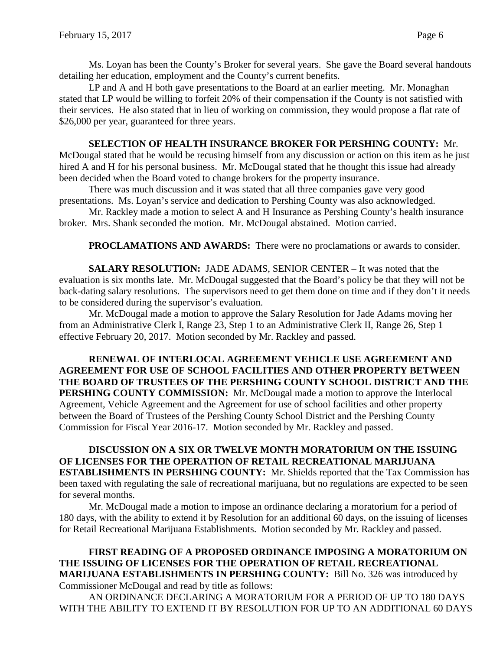Ms. Loyan has been the County's Broker for several years. She gave the Board several handouts detailing her education, employment and the County's current benefits.

LP and A and H both gave presentations to the Board at an earlier meeting. Mr. Monaghan stated that LP would be willing to forfeit 20% of their compensation if the County is not satisfied with their services. He also stated that in lieu of working on commission, they would propose a flat rate of \$26,000 per year, guaranteed for three years.

### **SELECTION OF HEALTH INSURANCE BROKER FOR PERSHING COUNTY:** Mr.

McDougal stated that he would be recusing himself from any discussion or action on this item as he just hired A and H for his personal business. Mr. McDougal stated that he thought this issue had already been decided when the Board voted to change brokers for the property insurance.

There was much discussion and it was stated that all three companies gave very good presentations. Ms. Loyan's service and dedication to Pershing County was also acknowledged.

Mr. Rackley made a motion to select A and H Insurance as Pershing County's health insurance broker. Mrs. Shank seconded the motion. Mr. McDougal abstained. Motion carried.

**PROCLAMATIONS AND AWARDS:** There were no proclamations or awards to consider.

**SALARY RESOLUTION:** JADE ADAMS, SENIOR CENTER – It was noted that the evaluation is six months late. Mr. McDougal suggested that the Board's policy be that they will not be back-dating salary resolutions. The supervisors need to get them done on time and if they don't it needs to be considered during the supervisor's evaluation.

Mr. McDougal made a motion to approve the Salary Resolution for Jade Adams moving her from an Administrative Clerk I, Range 23, Step 1 to an Administrative Clerk II, Range 26, Step 1 effective February 20, 2017. Motion seconded by Mr. Rackley and passed.

**RENEWAL OF INTERLOCAL AGREEMENT VEHICLE USE AGREEMENT AND AGREEMENT FOR USE OF SCHOOL FACILITIES AND OTHER PROPERTY BETWEEN THE BOARD OF TRUSTEES OF THE PERSHING COUNTY SCHOOL DISTRICT AND THE PERSHING COUNTY COMMISSION:** Mr. McDougal made a motion to approve the Interlocal Agreement, Vehicle Agreement and the Agreement for use of school facilities and other property between the Board of Trustees of the Pershing County School District and the Pershing County Commission for Fiscal Year 2016-17. Motion seconded by Mr. Rackley and passed.

**DISCUSSION ON A SIX OR TWELVE MONTH MORATORIUM ON THE ISSUING OF LICENSES FOR THE OPERATION OF RETAIL RECREATIONAL MARIJUANA ESTABLISHMENTS IN PERSHING COUNTY:** Mr. Shields reported that the Tax Commission has been taxed with regulating the sale of recreational marijuana, but no regulations are expected to be seen for several months.

Mr. McDougal made a motion to impose an ordinance declaring a moratorium for a period of 180 days, with the ability to extend it by Resolution for an additional 60 days, on the issuing of licenses for Retail Recreational Marijuana Establishments. Motion seconded by Mr. Rackley and passed.

## **FIRST READING OF A PROPOSED ORDINANCE IMPOSING A MORATORIUM ON THE ISSUING OF LICENSES FOR THE OPERATION OF RETAIL RECREATIONAL MARIJUANA ESTABLISHMENTS IN PERSHING COUNTY:** Bill No. 326 was introduced by Commissioner McDougal and read by title as follows:

AN ORDINANCE DECLARING A MORATORIUM FOR A PERIOD OF UP TO 180 DAYS WITH THE ABILITY TO EXTEND IT BY RESOLUTION FOR UP TO AN ADDITIONAL 60 DAYS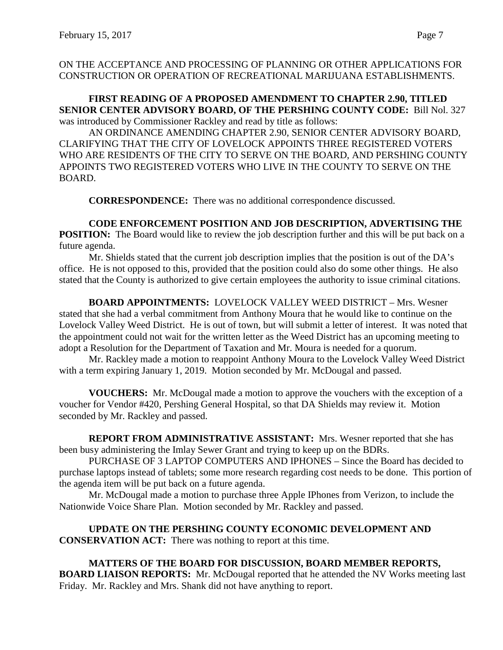ON THE ACCEPTANCE AND PROCESSING OF PLANNING OR OTHER APPLICATIONS FOR CONSTRUCTION OR OPERATION OF RECREATIONAL MARIJUANA ESTABLISHMENTS.

**FIRST READING OF A PROPOSED AMENDMENT TO CHAPTER 2.90, TITLED SENIOR CENTER ADVISORY BOARD, OF THE PERSHING COUNTY CODE:** Bill Nol. 327 was introduced by Commissioner Rackley and read by title as follows:

AN ORDINANCE AMENDING CHAPTER 2.90, SENIOR CENTER ADVISORY BOARD, CLARIFYING THAT THE CITY OF LOVELOCK APPOINTS THREE REGISTERED VOTERS WHO ARE RESIDENTS OF THE CITY TO SERVE ON THE BOARD, AND PERSHING COUNTY APPOINTS TWO REGISTERED VOTERS WHO LIVE IN THE COUNTY TO SERVE ON THE BOARD.

**CORRESPONDENCE:** There was no additional correspondence discussed.

**CODE ENFORCEMENT POSITION AND JOB DESCRIPTION, ADVERTISING THE POSITION:** The Board would like to review the job description further and this will be put back on a future agenda.

Mr. Shields stated that the current job description implies that the position is out of the DA's office. He is not opposed to this, provided that the position could also do some other things. He also stated that the County is authorized to give certain employees the authority to issue criminal citations.

**BOARD APPOINTMENTS:** LOVELOCK VALLEY WEED DISTRICT – Mrs. Wesner stated that she had a verbal commitment from Anthony Moura that he would like to continue on the Lovelock Valley Weed District. He is out of town, but will submit a letter of interest. It was noted that the appointment could not wait for the written letter as the Weed District has an upcoming meeting to adopt a Resolution for the Department of Taxation and Mr. Moura is needed for a quorum.

Mr. Rackley made a motion to reappoint Anthony Moura to the Lovelock Valley Weed District with a term expiring January 1, 2019. Motion seconded by Mr. McDougal and passed.

**VOUCHERS:** Mr. McDougal made a motion to approve the vouchers with the exception of a voucher for Vendor #420, Pershing General Hospital, so that DA Shields may review it. Motion seconded by Mr. Rackley and passed.

**REPORT FROM ADMINISTRATIVE ASSISTANT:** Mrs. Wesner reported that she has been busy administering the Imlay Sewer Grant and trying to keep up on the BDRs.

PURCHASE OF 3 LAPTOP COMPUTERS AND IPHONES – Since the Board has decided to purchase laptops instead of tablets; some more research regarding cost needs to be done. This portion of the agenda item will be put back on a future agenda.

Mr. McDougal made a motion to purchase three Apple IPhones from Verizon, to include the Nationwide Voice Share Plan. Motion seconded by Mr. Rackley and passed.

**UPDATE ON THE PERSHING COUNTY ECONOMIC DEVELOPMENT AND CONSERVATION ACT:** There was nothing to report at this time.

**MATTERS OF THE BOARD FOR DISCUSSION, BOARD MEMBER REPORTS, BOARD LIAISON REPORTS:** Mr. McDougal reported that he attended the NV Works meeting last Friday. Mr. Rackley and Mrs. Shank did not have anything to report.